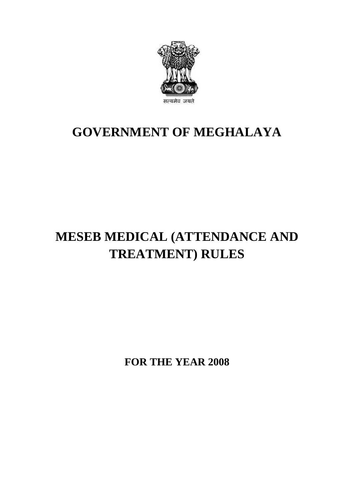

# **GOVERNMENT OF MEGHALAYA**

# **MESEB MEDICAL (ATTENDANCE AND TREATMENT) RULES**

**FOR THE YEAR 2008**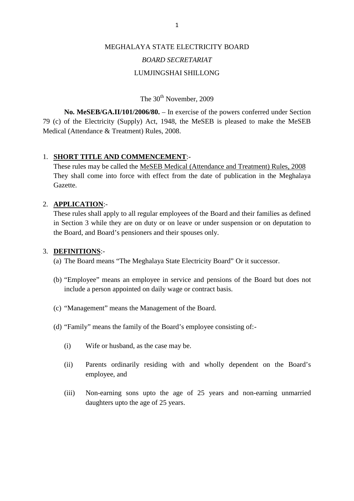# MEGHALAYA STATE ELECTRICITY BOARD *BOARD SECRETARIAT* LUMJINGSHAI SHILLONG

The 30<sup>th</sup> November, 2009

**No. MeSEB/GA.II/101/2006/80.** – In exercise of the powers conferred under Section 79 (c) of the Electricity (Supply) Act, 1948, the MeSEB is pleased to make the MeSEB Medical (Attendance & Treatment) Rules, 2008.

# 1. **SHORT TITLE AND COMMENCEMENT**:-

(c) of the Electricity (Suppry) Act, 1946, the MeSEB is pleased to flake the MeSEB<br>dical (Attendance & Treatment) Rules, 2008.<br>These rules may be called the <u>MeSEB Medical (Attendance and Treatment) Rules, 2008</u><br>They shall Gazette.

# 2. **APPLICATION**:-

These rules shall apply to all regular employees of the Board and their families as defined in Section 3 while they are on duty or on leave or under suspension or on deputation to the Board, and Board's pensioners and their spouses only.

# 3. **DEFINITIONS**:-

(a) The Board means "The Meghalaya State Electricity Board" Or it successor.

- (b) "Employee" means an employee in service and pensions of the Board but does not include a person appointed on daily wage or contract basis.
- 
- (c) "Management" means the Management of the Board.<br>
(d) "Family" means the family of the Board's employee consi<br>
(i) Wife or husband, as the case may be. (d) "Family" means the family of the Board's employee consisting of:-
	-
	- (i) Wife or husband, as the case may be.<br>
	(ii) Parents ordinarily residing with and wholly dependent on the Board's employee, and (ii) Parents ordinarily residing with and wholly dependent on the Board's employee, and<br>
	(iii) Non-earning sons upto the age of 25 years and non-earning unmarried<br>
	daughters upto the age of 25 years. Parents ordinarily residing with<br>employee, and<br>Non-earning sons upto the age<br>daughters upto the age of 25 years.
	-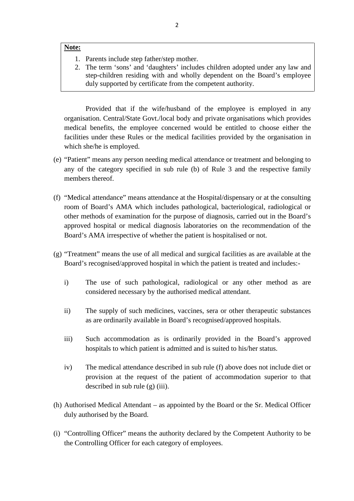## **Note:**

- 
- EXTERED 22<br>
2. The term 'sons' and 'daughters' includes children adopted under any law and<br>
2. The term 'sons' and 'daughters' includes children adopted under any law and step-children residing with and wholly dependent on the Board's employee duly supported by certificate from the competent authority. The term 'sons' and 'daughters' includes children adopted under any law and<br>step-children residing with and wholly dependent on the Board's employee<br>duly supported by certificate from the competent authority.<br>Provided that

organisation. Central/State Govt./local body and private organisations which provides medial benefits, the employee concerned would be entitled to choose either the facilities under these Rules or the medical facilities provided by the organisation in facilities under these Rules or the medical facilities provided by the organisation in which she/he is employed.

- (e) "Patient" means any person needing medical attendance or treatment and belonging to any of the category specified in sub rule (b) of Rule 3 and the respective family members thereof.
- (f) "Medical attendance" means attendance at the Hospital/dispensary or at the consulting room of Board's AMA which includes pathological, bacteriological, radiological or other methods of examination for the purpose of diagnosis, carried out in the Board's approved hospital or medical diagnosis laboratories on the recommendation of the Board's AMA irrespective of whether the patient is hospitalised or not.
- (g) "Treatment" means the use of all medical and surgical facilities as are available at the Board's recognised/approved hospital in which the patient is treated and includes:-
- Treatment" means the use of all medical and surgical facilities as are available at the<br>Board's recognised/approved hospital in which the patient is treated and includes:-<br>i) The use of such pathological, radiological or a considered necessary by the authorised medical attendant. iii) The use of such pathological, radiological or any other method as are considered necessary by the authorised medical attendant.<br>
ii) The supply of such medicines, vaccines, sera or other therapeutic substances as are
	- as are ordinarily available in Board's recognised/approved hospitals.
	- ii) The supply of such medicines, vaccines, sera or other therapeutic substances<br>as are ordinarily available in Board's recognised/approved hospitals.<br>iii) Such accommodation as is ordinarily provided in the Board's approv hospitals to which patient is admitted and is suited to his/her status. iii) Such accommodation as is ordinarily provided in the Board's approved<br>hospitals to which patient is admitted and is suited to his/her status.<br>iv) The medical attendance described in sub rule (f) above does not include
	- provision at the request of the patient of accommodation superior to that described in sub rule (g) (iii).
- (h) Authorised Medical Attendant as appointed by the Board or the Sr. Medical Officer duly authorised by the Board.
- (i) "Controlling Officer" means the authority declared by the Competent Authority to be the Controlling Officer for each category of employees.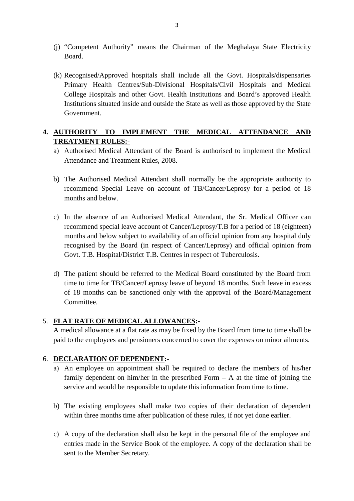- (j) "Competent Authority" means the Chairman of the Meghalaya State Electricity Board.
- (k) Recognised/Approved hospitals shall include all the Govt. Hospitals/dispensaries Primary Health Centres/Sub-Divisional Hospitals/Civil Hospitals and Medical College Hospitals and other Govt. Health Institutions and Board's approved Health Recognised/Approved hospitals shall include all the Govt. Hospitals/dispensaries<br>Primary Health Centres/Sub-Divisional Hospitals/Civil Hospitals and Medical<br>College Hospitals and other Govt. Health Institutions and Board's Government. College Hospitals and other Govt. Health Institutions and Board's approved Health<br>Institutions situated inside and outside the State as well as those approved by the State<br>Government.<br>**4. <u>AUTHORITY TO IMPLEMENT THE MEDICA**</u>

# **TREATMENT RULES:-** AUTHORITY TO IMPLEMENT THE MEDICAL ATTENDANCE AND<br>
TREATMENT RULES:-<br>
a) Authorised Medical Attendant of the Board is authorised to implement the Medical<br>
Attendance and Treatment Rules, 2008. **THORITY TO IMPLEMENT THE<br>EATMENT RULES:-**<br>Authorised Medical Attendant of the Board<br>Attendance and Treatment Rules, 2008.

- a) Authorised Medical Attendant of the Board is authorised to implement the Medical Attendance and Treatment Rules, 2008.<br>b) The Authorised Medical Attendant shall normally be the appropriate authority to
- recommend Special Leave on account of TB/Cancer/Leprosy for a period of 18 months and below. b) The Authorised Medical Attendant shall normally be the appropriate authority to<br>recommend Special Leave on account of TB/Cancer/Leprosy for a period of 18<br>months and below.<br>c) In the absence of an Authorised Medical Att
- recommend Special Leave on account of TB/Cancer/Leprosy for a period of 18<br>months and below.<br>In the absence of an Authorised Medical Attendant, the Sr. Medical Officer can<br>recommend special leave account of Cancer/Leprosy/ months and below subject to availability of an official opinion from any hospital duly recognised by the Board (in respect of Cancer/Leprosy) and official opinion from In the absence of an Authorised Medical Attendant, the Sr. Medica<br>recommend special leave account of Cancer/Leprosy/T.B for a period of<br>months and below subject to availability of an official opinion from any<br>recognised by months and below subject to availability of an official opinion from any hospital duly<br>recognised by the Board (in respect of Cancer/Leprosy) and official opinion from<br>Govt. T.B. Hospital/District T.B. Centres in respect o
- time to time for TB/Cancer/Leprosy leave of beyond 18 months. Such leave in excess Govt. T.B. Hospital/District T.B. Centres in respect of Tuberculosis.<br>
d) The patient should be referred to the Medical Board constituted by the Board from<br>
time to time for TB/Cancer/Leprosy leave of beyond 18 months. Suc Committee.

# 5. **FLAT RATE OF MEDICAL ALLOWANCES:-**

A medical allowance at a flat rate as may be fixed by the Board from time to time shall be paid to the employees and pensioners concerned to cover the expenses on minor ailments.

# 6. **DECLARATION OF DEPENDENT:-**

- A medical allowance at a flat rate as may be fixed by the Board from time to time shall be paid to the employees and pensioners concerned to cover the expenses on minor ailments.<br> **DECLARATION OF DEPENDENT:-**<br>
a) An employ family dependent on him/her in the prescribed Form  $- A$  at the time of joining the service and would be responsible to update this information from time to time. a) An employee on appointment shall be required to declare the members of his/her family dependent on him/her in the prescribed Form  $- A$  at the time of joining the service and would be responsible to update this informat
- within three months time after publication of these rules, if not yet done earlier. b) The existing employees shall make two copies of their declaration of dependent within three months time after publication of these rules, if not yet done earlier.<br>c) A copy of the declaration shall also be kept in the p
- entries made in the Service Book of the employee. A copy of the declaration shall be sent to the Member Secretary.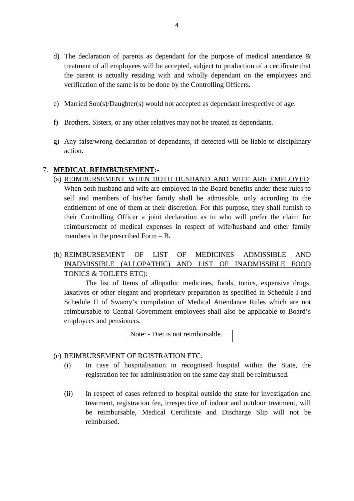- d) The declaration of parents as dependant for the purpose of medical attendance &<br>treatment of all employees will be accepted, subject to production of a certificate that treatment of all employees will be accepted, subject to production of a certificate that<br>the parent is actually residing with and wholly dependant on the employees and<br>verification of the same is to be done by the Controll the parent is actually residing with and wholly dependant on the employees and verification of the same is to be done by the Controlling Officers.
- F) Married Son(s)/Daughter(s) would not accepted as dependant irrespective of age.<br>
f) Brothers, Sisters, or any other relatives may not be treated as dependants.<br>
g) Any false/wrong declaration of dependants, if detected
- 
- e) Married Son(s)/Daughter(s) would not accepted as dependant irrespective of age.<br>
f) Brothers, Sisters, or any other relatives may not be treated as dependants.<br>
g) Any false/wrong declaration of dependants, if detected action.

# 7. **MEDICAL REIMBURSEMENT:-**

- (a) REIMBURSEMENT WHEN BOTH HUSBAND AND WIFE ARE EMPLOYED:<br>When both husband and wife are employed in the Board benefits under these rules to WHEN BOTH HUSBAND AND WIFE ARE EMPLOYED:<br>
When both husband and wife are employed in the Board benefits under these rules to<br>
self and members of his/her family shall be admissible, only according to the entitlement of one of them at their discretion. For this purpose, they shall furnish to their Controlling Officer a joint declaration as to who will prefer the claim for reimbursement of medical expenses in respect of wife/husband and other family members in the prescribed Form – B. their Controlling Officer a joint declaration as to who will prefer the claim for<br>reimbursement of medical expenses in respect of wife/husband and other family<br>members in the prescribed Form – B.<br>(b) <u>REIMBURSEMENT OF LIST</u>
- INADMISSIBLE (ALLOPATHIC) AND LIST OF INADMISSIBLE FOOD TONICS & TOILETS ETC):

The list of Items of allopathic medicines, foods, tonics, expensive drugs, laxatives or other elegant and proprietary preparation as specified in Schedule I and Schedule II of Swamy's compilation of Medical Attendance Rules which are not reimbursable to Central Government employees shall also be applicable to Board's employees and pensioners. ant and proprietary preparation as sp<br>y's compilation of Medical Attenda<br>al Government employees shall also<br>ers.<br>Note: - Diet is not reimbursable.

- (c) **REIMBURSEMENT OF RGISTRATION ETC:**<br>(i) In case of hospitalisation in recognised hospital within the State, the (i) In case of hospitalisation in recognised hospital within the State, the registration fee for administration on the same day shall be reimbursed. registration fee for administration on the same day shall be reimbursed.
	- (i) In case of hospitalisation in recognised hospital within the State, the registration fee for administration on the same day shall be reimbursed.<br>
	(ii) In respect of cases referred to hospital outside the state for inve treatment, registration fee, irrespective of indoor and outdoor treatment, will be reimbursable, Medical Certificate and Discharge Slip will not be reimbursed.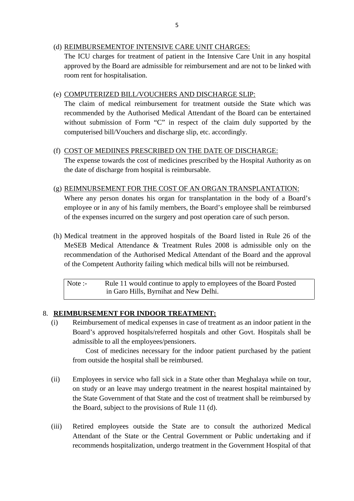# (d) REIMBURSEMENTOF INTENSIVE CARE UNIT CHARGES:

The ICU charges for treatment of patient in the Intensive Care Unit in any hospital approved by the Board are admissible for reimbursement and are not to be linked with room rent for hospitalisation. The ICU charges for treatment of patient in the Intensive Care Unit is<br>approved by the Board are admissible for reimbursement and are not to<br>room rent for hospitalisation.<br>(e) COMPUTERIZED BILL/VOUCHERS AND DISCHARGE SLIP:

The claim of medical reimbursement for treatment outside the State which was recommended by the Authorised Medical Attendant of the Board can be entertained without submission of Form "C" in respect of the claim duly supported by the COMPUTERIZED BILL/VOUCHERS AND DISCHARGE SLIP:<br>The claim of medical reimbursement for treatment outside the<br>recommended by the Authorised Medical Attendant of the Board c<br>without submission of Form "C" in respect of the cl recommended by the Authorised Medical Attendant of the Board can be enter<br>without submission of Form "C" in respect of the claim duly supported l<br>computerised bill/Vouchers and discharge slip, etc. accordingly.<br>(f) <u>COST O</u>

The expense towards the cost of medicines prescribed by the Hospital Authority as on the date of discharge from hospital is reimbursable. (f) COST OF MEDIINES PRESCRIBED ON THE DATE OF DISCHARGE:<br>The expense towards the cost of medicines prescribed by the Hospital Authority as on<br>the date of discharge from hospital is reimbursable.<br>(g) <u>REIMNURSEMENT FOR THE</u>

Where any person donates his organ for transplantation in the body of a Board's employee or in any of his family members, the Board's employee shall be reimbursed **REIMNURSEMENT FOR THE COST OF AN ORGAN TRANSPLANTATION:**<br>Where any person donates his organ for transplantation in the body of a Boar<br>employee or in any of his family members, the Board's employee shall be reimburs<br>of the (h) Medical treatment in the approved hospitals of the Board listed in Rule 26 of the

MeSEB Medical Attendance & Treatment Rules 2008 is admissible only on the recommendation of the Authorised Medical Attendant of the Board and the approval of the Competent Authority failing which medical bills will not be reimbursed. MeSEB Medical Attendance & Treatment Rules 2008 is admissible only on the<br>ecommendation of the Authorised Medical Attendant of the Board and the approval<br>of the Competent Authority failing which medical bills will not be r

in Garo Hills, Byrnihat and New Delhi.

# 8. **REIMBURSEMENT FOR INDOOR TREATMENT:**

(i) Reformance in Garo Hills, Byrnihat and New Delhi.<br>
(i) Ref. EXPENDING ENEXT FOR INDOOR TREATMENT:<br>
(i) Reimbursement of medical expenses in case of treatment as an indoor patient in the Board's approved hospitals/refer Board's approved hospitals/referred hospitals and other Govt. Hospitals shall be **BURSEMENT FOR INDOOR TREATMEN**<br>Reimbursement of medical expenses in case of t<br>Board's approved hospitals/referred hospitals admissible to all the employees/pensioners.<br>Cost of medicines necessary for the indoc

Cost of medicines necessary for the indoor patient purchased by the patient from outside the hospital shall be reimbursed.

- (ii) Employees in service who fall sick in a State other than Meghalaya while on tour,<br>iii) Employees in service who fall sick in a State other than Meghalaya while on tour,<br>on study or an leave may undergo treatment in th on study or an leave may undergo treatment in the nearest hospital maintained by the State Government of that State and the cost of treatment shall be reimbursed by the Board, subject to the provisions of Rule 11 (d). (iii) State Government of that State and the cost of treatment shall be reimbursed by the Board, subject to the provisions of Rule 11 (d).<br>
(iii) Retired employees outside the State are to consult the authorized Medical At
- Attendant of the State or the Central Government or Public undertaking and if recommends hospitalization, undergo treatment in the Government Hospital of that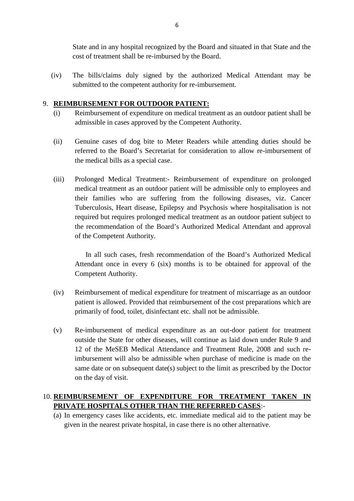State and in any hospital recognized by the Board and situated in that State and the cost of treatment shall be re-imbursed by the Board.

State and in any hospital recognized by the Board and situated in that State and the cost of treatment shall be re-imbursed by the Board.<br>
(iv) The bills/claims duly signed by the authorized Medical Attendant may be submit submitted to the competent authority for re-imbursement.

# 9. **REIMBURSEMENT FOR OUTDOOR PATIENT:**

- (i) The bills/claims duly signed by the authorized Medical Attendant may be<br>submitted to the competent authority for re-imbursement.<br>**REIMBURSEMENT FOR OUTDOOR PATIENT:**<br>(i) Reimbursement of expenditure on medical treatmen admissible in cases approved by the Competent Authority.
- (i) Reimbursement of expenditure on medical treatment as an outdoor patient shall be<br>admissible in cases approved by the Competent Authority.<br>(ii) Genuine cases of dog bite to Meter Readers while attending duties should be referred to the Board's Secretariat for consideration to allow re-imbursement of the medical bills as a special case. (ii) Genuine cases of dog bite to Meter Readers while attending duties should be referred to the Board's Secretariat for consideration to allow re-imbursement of the medical bills as a special case.<br>
(iii) Prolonged Medica
- medical treatment as an outdoor patient will be admissible only to employees and their families who are suffering from the following diseases, viz. Cancer Tuberculosis, Heart disease, Epilepsy and Psychosis where hospitalisation is not Prolonged Medical Treatment:- Reimbursement of expenditure on prolonged medical treatment as an outdoor patient will be admissible only to employees and their families who are suffering from the following diseases, viz. Ca the recommendation of the Board's Authorized Medical Attendant and approval of the Competent Authority.

In all such cases, fresh recommendation of the Board's Authorized Medical Attendant once in every 6 (six) months is to be obtained for approval of the Competent Authority. In all such cases, fresh recommendation of the Board's Authorized Medical<br>Attendant once in every 6 (six) months is to be obtained for approval of the<br>Competent Authority.<br>(iv) Reimbursement of medical expenditure for trea

- primarily of food, toilet, disinfectant etc. shall not be admissible. (iv) Reimbursement of medical expenditure for treatment of miscarriage as an outdoor<br>patient is allowed. Provided that reimbursement of the cost preparations which are<br>primarily of food, toilet, disinfectant etc. shall not
- patient is allowed. Provided that reimbursement of the cost preparations which are primarily of food, toilet, disinfectant etc. shall not be admissible.<br>Re-imbursement of medical expenditure as an out-door patient for trea 12 of the MeSEB Medical Attendance and Treatment Rule, 2008 and such reimbursement will also be admissible when purchase of medicine is made on the Re-imbursement of medical expenditure as an out-door patient for treatment outside the State for other diseases, will continue as laid down under Rule 9 and 12 of the MeSEB Medical Attendance and Treatment Rule, 2008 and s on the day of visit. imbursement will also be admissible when purchase of medicine is made on the<br>same date or on subsequent date(s) subject to the limit as prescribed by the Doctor<br>on the day of visit.<br>10. **REIMBURSEMENT OF EXPENDITURE FOR TR**

# **PRIVATE HOSPITALS OTHER THAN THE REFERRED CASES**:-

(a) In emergency cases like accidents, etc. immediate medical aid to the patient may be given in the nearest private hospital, in case there is no other alternative. given in the nearest private hospital, in case there is no other alternative.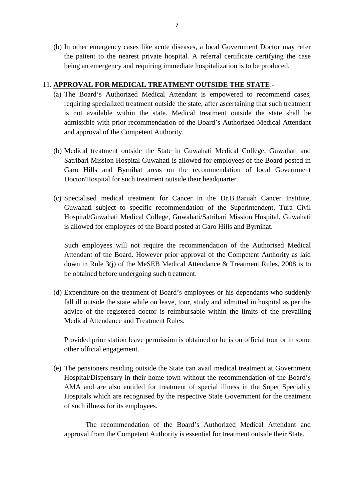(b) In other emergency cases like acute diseases, a local Government Doctor may refer the patient to the nearest private hospital. A referral certificate certifying the case being an emergency and requiring immediate hospitalization is to be produced.

# 11. **APPROVAL FOR MEDICAL TREATMENT OUTSIDE THE STATE**:-

- (a) The Board's Authorized Medical Attendant is empowered to recommend cases, requiring specialized treatment outside the state, after ascertaining that such treatment **PROVAL FOR MEDICAL TREATMENT OUTSIDE THE STATE:**-<br>The Board's Authorized Medical Attendant is empowered to recommend cases,<br>requiring specialized treatment outside the state, after ascertaining that such treatment<br>is not admissible with prior recommendation of the Board's Authorized Medical Attendant and approval of the Competent Authority. is not available within the state. Medical treatment outside the state shall be admissible with prior recommendation of the Board's Authorized Medical Attendant and approval of the Competent Authority.<br>(b) Medical treatmen
- Satribari Mission Hospital Guwahati is allowed for employees of the Board posted in Garo Hills and Byrnihat areas on the recommendation of local Government Doctor/Hospital for such treatment outside their headquarter. Satribari Mission Hospital Guwahati is allowed for employees of the Board posted in<br>Garo Hills and Byrnihat areas on the recommendation of local Government<br>Doctor/Hospital for such treatment outside their headquarter.<br>(c)
- Guwahati subject to specific recommendation of the Superintendent, Tura Civil Hospital/Guwahati Medical College, Guwahati/Satribari Mission Hospital, Guwahati is allowed for employees of the Board posted at Garo Hills and Byrnihat.

Such employees will not require the recommendation of the Authorised Medical Attendant of the Board. However prior approval of the Competent Authority as laid is allowed for employees of the Board posted at Garo Hills and Byrnihat.<br>Such employees will not require the recommendation of the Authorised Medical<br>Attendant of the Board. However prior approval of the Competent Authorit be obtained before undergoing such treatment.

(d) Expenditure on the treatment of Board's employees or his dependants who suddenly fall ill outside the state while on leave, tour, study and admitted in hospital as per the advice of the registered doctor is reimbursable within the limits of the prevailing Medical Attendance and Treatment Rules.

Provided prior station leave permission is obtained or he is on official tour or in some other official engagement.

(e) The pensioners residing outside the State can avail medical treatment at Government<br>(e) The pensioners residing outside the State can avail medical treatment at Government<br>Hospital/Dispensary in their home town without Hospital/Dispensary in their home town without the recommendation of the Board's AMA and are also entitled for treatment of special illness in the Super Speciality The pensioners residing outside the State can avail medical treatment at Government Hospital/Dispensary in their home town without the recommendation of the Board's AMA and are also entitled for treatment of special illnes of such illness for its employees.

The recommendation of the Board's Authorized Medical Attendant and approval from the Competent Authority is essential for treatment outside their State.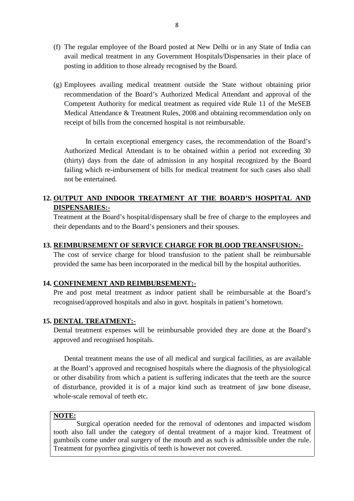- 8<br>(f) The regular employee of the Board posted at New Delhi or in any State of India can<br>avail medical treatment in any Government Hospitals/Dispensaries in their place of avail medical treatment in any Government Hospitals/Dispensaries in their place of posting in addition to those already recognised by the Board. (f) The regular employee of the Board posted at New Delhi or in any State of India can<br>avail medical treatment in any Government Hospitals/Dispensaries in their place of<br>posting in addition to those already recognised by t
- recommendation of the Board's Authorized Medical Attendant and approval of the Competent Authority for medical treatment as required vide Rule 11 of the MeSEB Medical Attendance & Treatment Rules, 2008 and obtaining recommendation only on receipt of bills from the concerned hospital is not reimbursable.

In certain exceptional emergency cases, the recommendation of the Board's Authorized Medical Attendant is to be obtained within a period not exceeding 30 (thirty) days from the date of admission in any hospital recognized by the Board failing which re-imbursement of bills for medical treatment for such cases also shall not be entertained. (thirty) days from the date of admission in any hospital recognized by the Board failing which re-imbursement of bills for medical treatment for such cases also shall not be entertained.<br> **12. <u>OUTPUT AND INDOOR TREATMENT** </u>

# **DISPENSARIES:** not be entertained.<br> **OUTPUT AND INDOOR TREATMENT AT THE BOARD'S HOSPITAL AND**<br> **DISPENSARIES:-**<br>
Treatment at the Board's hospital/dispensary shall be free of charge to the employees and<br>
their dependants and to the Board

their dependants and to the Board's pensioners and their spouses. Treatment at the Board's hospital/dispensary shall be free of charge to the employees and<br>their dependants and to the Board's pensioners and their spouses.<br>**13. REIMBURSEMENT OF SERVICE CHARGE FOR BLOOD TREANSFUSION:-**

The cost of service charge for blood transfusion to the patient shall be reimbursable provided the same has been incorporated in the medical bill by the hospital authorities. **13. REIMBURSEMENT OF SERVICE CHARGE FOR**<br>The cost of service charge for blood transfusion to t<br>provided the same has been incorporated in the medical<br>**14. CONFINEMENT AND REIMBURSEMENT:-**<br>Pre and post metal treatment as i

Pre and post metal treatment as indoor patient shall be reimbursable at the Board's recognised/approved hospitals and also in govt. hospitals in patient's hometown. **14. CONFINEMENT AND REIMBU**<br>Pre and post metal treatment as<br>recognised/approved hospitals and<br>**15. <u>DENTAL TREATMENT:-</u>**<br>Dental treatment expenses will be

Dental treatment expenses will be reimbursable provided they are done at the Board's approved and recognised hospitals. **15. DENTAL TREATMENT:-**<br>Dental treatment expenses will be reimbursable provided they are done at the Board's approved and recognised hospitals.<br>Dental treatment means the use of all medical and surgical facilities, as are

at the Board's approved and recognised hospitals where the diagnosis of the physiological or other disability from which a patient is suffering indicates that the teeth are the source of disturbance, provided it is of a major kind such as treatment of jaw bone disease,<br>whole-scale removal of teeth etc.<br>**NOTE:**<br>Surgical operation needed for the removal of odentones and impacted wisdom<br>tooth also fall und whole-scale removal of teeth etc.

# **NOTE:**

Mortholde-scale removal of teeth etc.<br>
Mortholde-scale removal of teeth etc.<br>
Mortholder the category of dental treatment of a major kind. Treatment of<br>
denticos fall under the category of dental treatment of a major kind. MOTE:<br>Surgical operation needed for the removal of odentones and impacted wisdom<br>tooth also fall under the category of dental treatment of a major kind. Treatment of<br>gumboils come under oral surgery of the mouth and as suc Treatment for pyorrhea gingivitis of teeth is however not covered.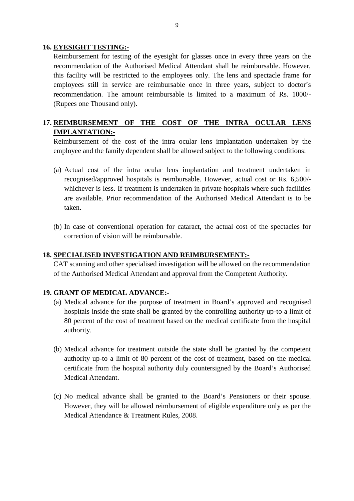**16. EYESIGHT TESTING:-**<br>Reimbursement for testing of the g<br>Reimbursement for testing of the eyesight for glasses once in every three years on the<br>recommendation of the Authorised Medical Attendant shall be reimbursable. However, recommendation of the Authorised Medical Attendant shall be reimbursable. However, this facility will be restricted to the employees only. The lens and spectacle frame for **EYESIGHT TESTING:-**<br>Reimbursement for testing of the eyesight for glasses once in every three years on the<br>recommendation of the Authorised Medical Attendant shall be reimbursable. However,<br>this facility will be restricte recommendation. The amount reimbursable is limited to a maximum of Rs. 1000/- (Rupees one Thousand only). employees still in service are reimbursable once in three years, subject to doctor's recommendation. The amount reimbursable is limited to a maximum of Rs. 1000/-<br>(Rupees one Thousand only).<br>**17. <u>REIMBURSEMENT OF THE COST**</u>

# **IMPLANTATION:-**

Reimbursement of the cost of the intra ocular lens implantation undertaken by the employee and the family dependent shall be allowed subject to the following conditions:

- (a) Actual cost of the intra ocular lens implantation undertaken by the employee and the family dependent shall be allowed subject to the following conditions:<br>(a) Actual cost of the intra ocular lens implantation and trea Reimbursement of the cost of the intra ocular lens implantation undertaken by the<br>employee and the family dependent shall be allowed subject to the following conditions:<br>(a) Actual cost of the intra ocular lens implantatio are available. Prior recommendation of the Authorised Medical Attendant is to be taken.
- correction of vision will be reimbursable. **18. SPECIALISED INVESTIGATION AND REIMBURSEMENT:**<br> **18. SPECIALISED INVESTIGATION AND REIMBURSEMENT:**<br>
CAT scanning and other specialised investigation will be allowed on the recommendation

of the Authorised Medical Attendant and approval from the Competent Authority. **18. SPECIALISED INVESTIGATION AND RI**<br>CAT scanning and other specialised investigat<br>of the Authorised Medical Attendant and appro<br>**19. GRANT OF MEDICAL ADVANCE:-**<br>(a) Medical advance for the purpose of treat

- (a) Medical advance for the purpose of treatment in Board's approved and recognised hospitals inside the state shall be granted by the controlling authority up-to a limit of 80 percent based on the medical certificate from the hospital authority.<br>(b) Medical advance for treatment outside the state shall b authority.
- 80 percent of the cost of treatment based on the medical certificate from the hospital authority.<br>
Medical advance for treatment outside the state shall be granted by the competent authority up-to a limit of 80 percent of certificate from the hospital authority duly countersigned by the Board's Authorised Medical Attendant. (c) No medical advance shall be granted to the Board's Pensioners or their spouse.
- However, they will be allowed reimbursement of eligible expenditure only as per the Medical Attendance & Treatment Rules, 2008.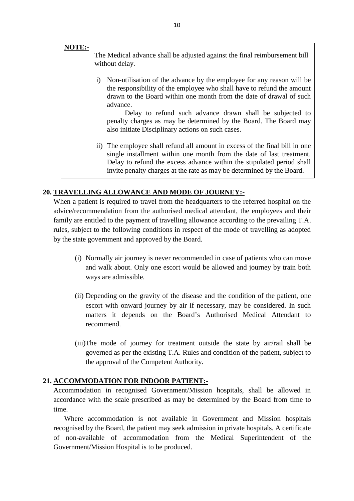## **NOTE:-**

The Medical advance shall be adjusted against the final reimbursement bill without delay.

In the Medical advance shall be adjusted against the final reimbursement bill<br>
i) Non-utilisation of the advance by the employee for any reason will be<br>
the responsibility of the employee who shall have to refund the amoun drawn to the Board within one month from the date of drawal of such advance.

Delay to refund such advance drawn shall be subjected to penalty charges as may be determined by the Board. The Board may also initiate Disciplinary actions on such cases. income.<br>
Shall be subjected to<br>
penalty charges as may be determined by the Board. The Board may<br>
also initiate Disciplinary actions on such cases.<br>
ii) The employee shall refund all amount in excess of the final bill in o

single installment within one month from the date of last treatment. penalty charges as may be determined by the Board. The Board may<br>also initiate Disciplinary actions on such cases.<br>The employee shall refund all amount in excess of the final bill in one<br>single installment within one month invite penalty charges at the rate as may be determined by the Board. Delay to refund the excess advance within the stipulated period shall<br>invite penalty charges at the rate as may be determined by the Board.<br>20. **TRAVELLING ALLOWANCE AND MODE OF JOURNEY:-**

When a patient is required to travel from the headquarters to the referred hospital on the advice/recommendation from the authorised medical attendant, the employees and their **TRAVELLING ALLOWANCE AND MODE OF JOURNEY:-**<br>When a patient is required to travel from the headquarters to the referred hospital on the<br>advice/recommendation from the authorised medical attendant, the employees and their<br>f rules, subject to the following conditions in respect of the mode of travelling as adopted by the state government and approved by the Board. The payment of travelling allowance according to the prevailing T.A.<br>
ubject to the following conditions in respect of the mode of travelling as adopted<br>
tate government and approved by the Board.<br>
(i) Normally air journey

- and walk about. Only one escort would be allowed and journey by train both ways are admissible. (i) Normally air journey is never recommended in case of patients who can move<br>and walk about. Only one escort would be allowed and journey by train both<br>ways are admissible.<br>(ii) Depending on the gravity of the disease an
- escort with onward journey by air if necessary, may be considered. In such matters it depends on the Board's Authorised Medical Attendant to recommend. escort with onward journey by air if necessary, may be considered. In such matters it depends on the Board's Authorised Medical Attendant to recommend.<br>(iii)The mode of journey for treatment outside the state by air/rail s
- matters it depends on the Board's Authorised Medical Attendant to<br>recommend.<br>The mode of journey for treatment outside the state by air/rail shall be<br>governed as per the existing T.A. Rules and condition of the patient, su the approval of the Competent Authority. **21. ACCOMMODATION FOR INDOOR PATIENT:**<br>
Accommodation in recognised Government/Mission hospitals, shall be allowed in

accordance with the scale prescribed as may be determined by the Board from time to time.

Where accommodation is not available in Government and Mission hospitals recognised by the Board, the patient may seek admission in private hospitals. A certificate of non-available of accommodation from the Medical Superintendent of the Government/Mission Hospital is to be produced.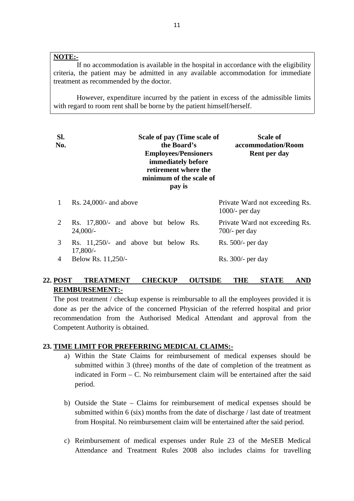# **NOTE:-**

If no accommodation is available in the hospital in accordance with the eligibility criteria, the patient may be admitted in any available accommodation for immediate treatment as recommended by the doctor.

However, expenditure incurred by the patient in excess of the admissible limits with regard to room rent shall be borne by the patient himself/herself.

| SI.<br>No.     | Scale of pay (Time scale of<br>the Board's<br><b>Employees/Pensioners</b><br>immediately before<br>retirement where the<br>minimum of the scale of<br>pay is | <b>Scale of</b><br>accommodation/Room<br><b>Rent per day</b> |
|----------------|--------------------------------------------------------------------------------------------------------------------------------------------------------------|--------------------------------------------------------------|
| 1              | Rs. $24,000/$ - and above                                                                                                                                    | Private Ward not exceeding Rs.<br>$1000/-$ per day           |
| 2              | Rs. 17,800/- and above but below Rs.<br>$24,000/-$                                                                                                           | Private Ward not exceeding Rs.<br>$700/-$ per day            |
| 3              | Rs. 11,250/- and above but below Rs.<br>$17,800/-$                                                                                                           | $Rs. 500/-$ per day                                          |
| $\overline{4}$ | Below Rs. 11,250/-                                                                                                                                           | $Rs. 300/-$ per day                                          |
| 22. POST       | <b>TREATMENT</b><br><b>CHECKUP</b><br><b>REIMBURSEMENT:-</b>                                                                                                 | <b>THE</b><br><b>OUTSIDE</b><br><b>STATE</b><br><b>AND</b>   |

# **REIMBURSEMENT:-** 22. POST TREATMENT CHECKUP OUTSIDE THE STATE AND REIMBURSEMENT:-<br>The post treatment / checkup expense is reimbursable to all the employees provided it is

done as per the advice of the concerned Physician of the referred hospital and prior<br>
recommendation from the Authorised Medical Attendant and approval from the<br>
Competent Authority is obtained.<br>
23. <u>TIME LIMIT FOR PREFER</u> recommendation from the Authorised Medical Attendant and approval from the<br>
Competent Authority is obtained.<br> **TIME LIMIT FOR PREFERRING MEDICAL CLAIMS:-**<br>
a) Within the State Claims for reimbursement of medical expenses s Competent Authority is obtained.

- submitted within 3 (three) months of the date of completion of the treatment as indicated in Form  $- C$ . No reimbursement claim will be entertained after the said period. submitted within 3 (three) months of the date of completion of the treatment as<br>indicated in Form – C. No reimbursement claim will be entertained after the said<br>period.<br>b) Outside the State – Claims for reimbursement of m
- submitted within 6 (six) months from the date of discharge / last date of treatment from Hospital. No reimbursement claim will be entertained after the said period. b) Outside the State – Claims for reimbursement of medical expenses should be submitted within 6 (six) months from the date of discharge  $/$  last date of treatment from Hospital. No reimbursement claim will be entertained
- Attendance and Treatment Rules 2008 also includes claims for travelling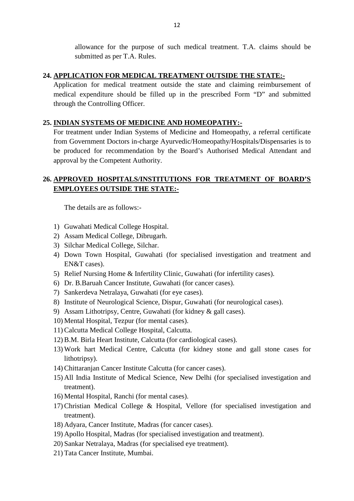allowance for the purpose of such medical treatment. T.A. claims should be submitted as per T.A. Rules. 24. **APPLICATION FOR MEDICAL TREATMENT OUTSIDE THE STATE:**<br>
Application for medical treatment outside the state and claiming reimbursement of

medical expenditure should be filled up in the prescribed Form "D" and submitted through the Controlling Officer. **25. INDIAN SYSTEMS OF MEDICINE AND HOMEOPATHY:**<br>For treatment under Indian Systems of Medicine and Homeopathy, a

For treatment under Indian Systems of Medicine and Homeopathy, a referral certificate from Government Doctors in-charge Ayurvedic/Homeopathy/Hospitals/Dispensaries is to be produced for recommendation by the Board's Authorised Medical Attendant and approval by the Competent Authority.

# **26. APPROVED HOSPITALS/INSTITUTIONS FOR TREATMENT OF BOARD'S** EMPLOYEES OUTSIDE THE STATE:<br>
The details are as follows:-<br>
1) Guwahati Medical College Hospital.<br>
2) Assam Medical College, Dibrugarh.

The details are as follows:-

- 
- 1) Guwahati Medical College Hospital.<br>2) Assam Medical College, Dibrugarh.<br>3) Silchar Medical College, Silchar.
- 
- The details are as follows:-<br>3) Guwahati Medical College Hospital.<br>3) Silchar Medical College, Dibrugarh.<br>3) Silchar Medical College, Silchar.<br>4) Down Town Hospital, Guwahati (f 1) Guwahati Medical College Hospital.<br>2) Assam Medical College, Dibrugarh.<br>3) Silchar Medical College, Silchar.<br>4) Down Town Hospital, Guwahati (for specialised investigation and treatment and<br>EN&T cases). EN&T cases). 1) Silchar Medical College, Dibrugarh.<br>
3) Silchar Medical College, Silchar.<br>
4) Down Town Hospital, Guwahati (for specialised investigation and treatm<br>
EN&T cases).<br>
5) Relief Nursing Home & Infertility Clinic, Guwahati ( 6) Silchar Medical College, Silchar.<br>
4) Down Town Hospital, Guwahati (for specialised investigation<br>
EN&T cases).<br>
5) Relief Nursing Home & Infertility Clinic, Guwahati (for infertili<br>
6) Dr. B.Baruah Cancer Institute, Gu 4) Down Town Hospital, Guwahati (for specialised<br>EN&T cases).<br>5) Relief Nursing Home & Infertility Clinic, Guwahati (6)<br>Dr. B.Baruah Cancer Institute, Guwahati (for cancer (7)<br>8) Sankerdeva Netralaya, Guwahati (for eye cas EN&T cases).<br>
5) Relief Nursing Home & Infertility Clinic, Guwahati (for infertility cases).<br>
6) Dr. B.Baruah Cancer Institute, Guwahati (for cancer cases).<br>
7) Sankerdeva Netralaya, Guwahati (for eye cases).<br>
8) Institute
- 9) Assam Lithotripsy, Centre, Guwahati (for infertility compared) Dr. B. Baruah Cancer Institute, Guwahati (for cancer cases).<br>
9) Sankerdeva Netralaya, Guwahati (for eye cases).<br>
8) Institute of Neurological Science, Disp
- 10) F. B. Baruah Cancer Institute, Guwahati (for ca<br>
10) Sankerdeva Netralaya, Guwahati (for eye cases)<br>
10) Institute of Neurological Science, Dispur, Guwa<br>
10) Assam Lithotripsy, Centre, Guwahati (for kidne<br>
10) Mental H
- 
- 
- 7) Sankerdeva Netralaya, Guwahati (for eye cases).<br>8) Institute of Neurological Science, Dispur, Guwah<br>9) Assam Lithotripsy, Centre, Guwahati (for kidney<br>10) Mental Hospital, Tezpur (for mental cases).<br>11) Calcutta Medical
- 
- 
- 
- 12) B.M. Birla Heart Institute, Calcutta (for heurology) Assam Lithotripsy, Centre, Guwahati (for kidney & gall cases).<br>10) Mental Hospital, Tezpur (for mental cases).<br>11) Calcutta Medical College Hospital, Calcutta.<br>12) B 13) Assam Lithotripsy, Centre, Guwahati (for kidney & gall cases).<br>
10) Mental Hospital, Tezpur (for mental cases).<br>
11) Calcutta Medical College Hospital, Calcutta.<br>
12) B.M. Birla Heart Institute, Calcutta (for cardiolo lithotripsy). 11) Calcutta Medical College Hospital, Calcutta.<br>12) B.M. Birla Heart Institute, Calcutta (for cardiological cases).<br>13) Work hart Medical Centre, Calcutta (for kidney stone a<br>lithotripsy).<br>14) Chittaranjan Cancer Institut
- 
- 12) B.M. Birla Heart Institute, Calcutta (for cardiological cases).<br>
13) Work hart Medical Centre, Calcutta (for kidney stone and gall stone cases for<br>
14) Chittaranjan Cancer Institute Calcutta (for cancer cases).<br>
15) Al treatment). 14) Chittaranjan Cancer Institute Calcutta (for cance<br>15) All India Institute of Medical Science, New D<br>treatment).<br>16) Mental Hospital, Ranchi (for mental cases).<br>17) Christian Medical College & Hospital, Vello 14) Chittaranjan Cancer Institute Calcutta (for cancer cases).<br>
15) All India Institute of Medical Science, New Delhi (for specialised investigation and<br>
16) Mental Hospital, Ranchi (for mental cases).<br>
17) Christian Medic
- 
- treatment). treatment).<br>
16) Mental Hospital, Ranchi (for mental cases).<br>
17) Christian Medical College & Hospital, Vellore (for<br>
treatment).<br>
18) Adyara, Cancer Institute, Madras (for cancer cases).<br>
19) Apollo Hospital, Madras (for 16) Mental Hospital, Ranchi (for mental cases).<br>17) Christian Medical College & Hospital, Vellore (for specialised invest<br>treatment).<br>18) Adyara, Cancer Institute, Madras (for cancer cases).<br>19) Apollo Hospital, Madras (fo 17) Christian Medical College & Hospital, Vellore (for special treatment).<br>18) Adyara, Cancer Institute, Madras (for cancer cases).<br>19) Apollo Hospital, Madras (for specialised investigation and treated).<br>20) Sankar Netral
- 
- 18) Adyara, Cancer Institute, Madras (for cancer cases).<br>19) Apollo Hospital, Madras (for specialised investigation and treatment).<br>20) Sankar Netralaya, Madras (for specialised eye treatment).<br>21) Tata Cancer Institute, M
- 
-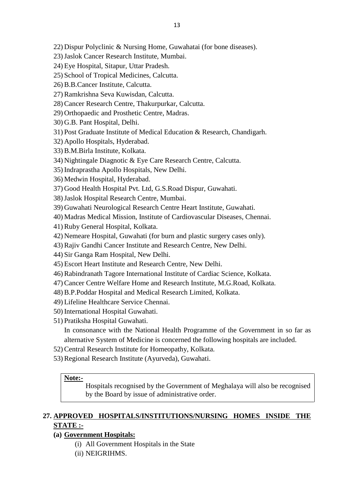13<br>22) Dispur Polyclinic & Nursing Home, Guwahatai (for bone diseases).<br>23) Jaslok Cancer Research Institute, Mumbai. 13<br>22) Dispur Polyclinic & Nursing Home, Guwahatai<br>23) Jaslok Cancer Research Institute, Mumbai.<br>24) Eye Hospital, Sitapur, Uttar Pradesh.

- 13<br>22) Dispur Polyclinic & Nursing Home, Guw<br>23) Jaslok Cancer Research Institute, Mumba<br>24) Eye Hospital, Sitapur, Uttar Pradesh.<br>25) School of Tropical Medicines, Calcutta. 22) Dispur Polyclinic & Nursing Home, Guwaha<br>23) Jaslok Cancer Research Institute, Mumbai.<br>24) Eye Hospital, Sitapur, Uttar Pradesh.<br>25) School of Tropical Medicines, Calcutta.<br>26) B.B.Cancer Institute, Calcutta. 22) Dispur Polyclinic & Nursing Home<br>23) Jaslok Cancer Research Institute, M<br>24) Eye Hospital, Sitapur, Uttar Prades<br>25) School of Tropical Medicines, Calc<br>26) B.B.Cancer Institute, Calcutta.<br>27) Ramkrishna Seva Kuwisdan, 23) Jaslok Cancer Research Institute, Mumbai.<br>24) Eye Hospital, Sitapur, Uttar Pradesh.<br>25) School of Tropical Medicines, Calcutta.<br>26) B.B.Cancer Institute, Calcutta.<br>27) Ramkrishna Seva Kuwisdan, Calcutta.<br>28) Cancer Res
- 
- 
- 
- 
- 24) Eye Hospital, Sitapur, Uttar Pradesh.<br>25) School of Tropical Medicines, Calcutta.<br>26) B.B.Cancer Institute, Calcutta.<br>27) Ramkrishna Seva Kuwisdan, Calcutta.<br>28) Cancer Research Centre, Thakurpurkar, Calcutta.<br>29) Orth 25) School of Tropical Medicines, Calcutta.<br>26) B.B.Cancer Institute, Calcutta.<br>27) Ramkrishna Seva Kuwisdan, Calcutta.<br>28) Cancer Research Centre, Thakurpurkar, Calcutta<br>29) Orthopaedic and Prosthetic Centre, Madras.<br>30)
- 
- 
- 26) B.B.Cancer Institute, Calcutta.<br>27) Ramkrishna Seva Kuwisdan, C<br>28) Cancer Research Centre, Thak<br>29) Orthopaedic and Prosthetic Ce<br>30) G.B. Pant Hospital, Delhi.<br>31) Post Graduate Institute of Med 27) Ramkrishna Seva Kuwisdan, Calcutta.<br>28) Cancer Research Centre, Thakurpurkar, Calcutta.<br>29) Orthopaedic and Prosthetic Centre, Madras.<br>30) G.B. Pant Hospital, Delhi.<br>31) Post Graduate Institute of Medical Education & R 28) Cancer Research Centre, Thakurp<br>29) Orthopaedic and Prosthetic Centre<br>30) G.B. Pant Hospital, Delhi.<br>31) Post Graduate Institute of Medical<br>32) Apollo Hospitals, Hyderabad.<br>33) B.M.Birla Institute, Kolkata. 29) Orthopaedic and Prosthetic Centr<br>30) G.B. Pant Hospital, Delhi.<br>31) Post Graduate Institute of Medica<br>32) Apollo Hospitals, Hyderabad.<br>33) B.M.Birla Institute, Kolkata.<br>34) Nightingale Diagnotic & Eye Car 30) G.B. Pant Hospital, Delhi.<br>31) Post Graduate Institute of Medical Education & Research, Chandi;<br>32) Apollo Hospitals, Hyderabad.<br>33) B.M.Birla Institute, Kolkata.<br>34) Nightingale Diagnotic & Eye Care Research Centre, C 31) Post Graduate Institute of Medical Education &<br>32) Apollo Hospitals, Hyderabad.<br>33) B.M.Birla Institute, Kolkata.<br>34) Nightingale Diagnotic & Eye Care Research Ce<br>35) Indraprastha Apollo Hospitals, New Delhi.<br>36) Medwi
- 
- 
- 33) B.M.Birla Institute, Kolkata.<br>34) Nightingale Diagnotic & Eye Care Research Centre, Calcutta.<br>35) Indraprastha Apollo Hospitals, New Delhi.<br>36) Medwin Hospital, Hyderabad.<br>37) Good Health Hospital Pvt. Ltd, G.S.Road Di
- 
- 
- 32) Apollo Hospitals, Hyderabad.<br>33) B.M.Birla Institute, Kolkata.<br>34) Nightingale Diagnotic & Eye Care<br>35) Indraprastha Apollo Hospitals, Nev<br>36) Medwin Hospital, Hyderabad.<br>37) Good Health Hospital Pvt. Ltd, G.S 34) Nightingale Diagnotic & Eye Care Research Co<br>35) Indraprastha Apollo Hospitals, New Delhi.<br>36) Medwin Hospital, Hyderabad.<br>37) Good Health Hospital Pvt. Ltd, G.S.Road Dispi<br>38) Jaslok Hospital Research Centre, Mumbai.<br>
- 
- 35) Indraprastha Apollo Hospitals, New Delhi.<br>36) Medwin Hospital, Hyderabad.<br>37) Good Health Hospital Pvt. Ltd, G.S.Road Dispur, Guwahati.<br>38) Jaslok Hospital Research Centre, Mumbai.<br>39) Guwahati Neurological Research Ce
- 36) Medwin Hospital, Hyderabad.<br>37) Good Health Hospital Pvt. Ltd, G.S.Road Dispur, Guwahati.<br>38) Jaslok Hospital Research Centre, Mumbai.<br>39) Guwahati Neurological Research Centre Heart Institute, Guwahati.<br>40) Madras Med 37) Good Health Hospital Pvt. Ltd, G.S.Road Dispur, Guwahati.<br>38) Jaslok Hospital Research Centre, Mumbai.<br>39) Guwahati Neurological Research Centre Heart Institute, Guwaha<br>40) Madras Medical Mission, Institute of Cardiova 38) Jaslok Hospital Research Centre, Mumbai.<br>39) Guwahati Neurological Research Centre Heart Institute, Guwahati.<br>40) Madras Medical Mission, Institute of Cardiovascular Diseases, Chennai.<br>41) Ruby General Hospital, Kolkat 39) Guwahati Neurological Research Centre Heart Institute, Guwahati.<br>40) Madras Medical Mission, Institute of Cardiovascular Diseases, Chen<br>41) Ruby General Hospital, Kolkata.<br>42) Nemeare Hospital, Guwahati (for burn and p 40) Madras Medical Mission, Institute of Card<br>41) Ruby General Hospital, Kolkata.<br>42) Nemeare Hospital, Guwahati (for burn an<br>43) Rajiv Gandhi Cancer Institute and Resear<br>44) Sir Ganga Ram Hospital, New Delhi.<br>45) Escort H
- 
- 
- 
- 
- 
- 41) Ruby General Hospital, Kolkata.<br>42) Nemeare Hospital, Guwahati (for burn and plastic surgery c<br>43) Rajiv Gandhi Cancer Institute and Research Centre, New De<br>44) Sir Ganga Ram Hospital, New Delhi.<br>45) Escort Heart Insti 42) Nemeare Hospital, Guwahati (for burn and plastic surgery cases only).<br>43) Rajiv Gandhi Cancer Institute and Research Centre, New Delhi.<br>44) Sir Ganga Ram Hospital, New Delhi.<br>45) Escort Heart Institute and Research Cen 43) Rajiv Gandhi Cancer Institute and Research Centre, New Delhi.<br>44) Sir Ganga Ram Hospital, New Delhi.<br>45) Escort Heart Institute and Research Centre, New Delhi.<br>46) Rabindranath Tagore International Institute of Cardiac 44) Sir Ganga Ram Hospital, New Delhi.<br>45) Escort Heart Institute and Research Centre, New Delhi.<br>46) Rabindranath Tagore International Institute of Cardiac Science, Kolkata.<br>47) Cancer Centre Welfare Home and Research Ins 45) Escort Heart Institute and Research Centr<br>46) Rabindranath Tagore International Institu<br>47) Cancer Centre Welfare Home and Resear<br>48) B.P.Poddar Hospital and Medical Resear<br>49) Lifeline Healthcare Service Chennai.<br>50) 46) Rabindranath Tagore International In<br>47) Cancer Centre Welfare Home and Re<br>48) B.P.Poddar Hospital and Medical Res<br>49) Lifeline Healthcare Service Chennai.<br>50) International Hospital Guwahati.<br>51) Pratiksha Hospital Gu
- 
- 
- 
- 
- 

47) Cancer Centre Welfare Home and<br>48) B.P.Poddar Hospital and Medical<br>49) Lifeline Healthcare Service Chen<br>50) International Hospital Guwahati.<br>51) Pratiksha Hospital Guwahati.<br>In consonance with the National B.P.Poddar Hospital and Medical Research Limited, Kolkata.<br>Lifeline Healthcare Service Chennai.<br>International Hospital Guwahati.<br>In consonance with the National Health Programme of the Government in so far as<br>alternative S alternative System of Medicine is concerned the following hospitals are included. 50) International Hospital Guwahati.<br>51) Pratiksha Hospital Guwahati.<br>In consonance with the National Health Programme of<br>alternative System of Medicine is concerned the followin<br>52) Central Research Institute for Homeopat 51) Pratiksha Hospital Guwahati.<br>
In consonance with the National Health Programme of the Government in so far as<br>
alternative System of Medicine is concerned the following hospitals are included.<br>
52) Central Research Ins

- 
- 

# **Note:-**

Hospitals recognised by the Government of Meghalaya will also be recognised by the Board by issue of administrative order.

# **27. APPROVED HOSPITALS/INSTITUTIONS/NURSING HOMES INSIDE THE**<br>STATE:-**STATE :** by the Board by issue of<br> **(a) COVED HOSPITALS/INS**<br> **(a) Government Hospitals:**<br>
(i) All Government Hospit **OVED HOSPITALS/INSTITUTIONS/NURSI**<br>
<u>E: :-</u><br> **vernment Hospitals:**<br>
(i) All Government Hospitals in the State<br>
(ii) NEIGRIHMS. **EXAMPLE EXECUTE:**<br>
<u>EXAMPLE</u><br>
(i) All Governme<br>
(ii) NEIGRIHMS.

- 
-